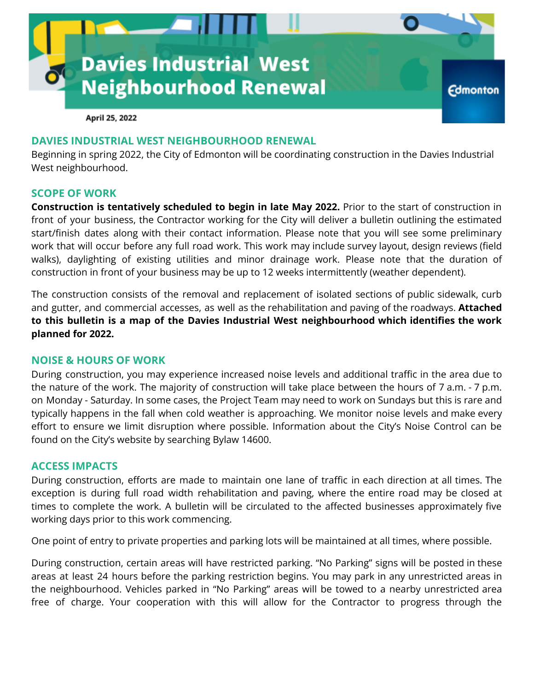

April 25, 2022

## **DAVIES INDUSTRIAL WEST NEIGHBOURHOOD RENEWAL**

Beginning in spring 2022, the City of Edmonton will be coordinating construction in the Davies Industrial West neighbourhood.

## **SCOPE OF WORK**

**Construction is tentatively scheduled to begin in late May 2022.** Prior to the start of construction in front of your business, the Contractor working for the City will deliver a bulletin outlining the estimated start/finish dates along with their contact information. Please note that you will see some preliminary work that will occur before any full road work. This work may include survey layout, design reviews (field walks), daylighting of existing utilities and minor drainage work. Please note that the duration of construction in front of your business may be up to 12 weeks intermittently (weather dependent).

The construction consists of the removal and replacement of isolated sections of public sidewalk, curb and gutter, and commercial accesses, as well as the rehabilitation and paving of the roadways. **Attached to this bulletin is a map of the Davies Industrial West neighbourhood which identifies the work planned for 2022.**

### **NOISE & HOURS OF WORK**

During construction, you may experience increased noise levels and additional traffic in the area due to the nature of the work. The majority of construction will take place between the hours of 7 a.m. - 7 p.m. on Monday - Saturday. In some cases, the Project Team may need to work on Sundays but this is rare and typically happens in the fall when cold weather is approaching. We monitor noise levels and make every effort to ensure we limit disruption where possible. Information about the City's Noise Control can be found on the City's website by searching Bylaw 14600.

## **ACCESS IMPACTS**

During construction, efforts are made to maintain one lane of traffic in each direction at all times. The exception is during full road width rehabilitation and paving, where the entire road may be closed at times to complete the work. A bulletin will be circulated to the affected businesses approximately five working days prior to this work commencing.

One point of entry to private properties and parking lots will be maintained at all times, where possible.

During construction, certain areas will have restricted parking. "No Parking" signs will be posted in these areas at least 24 hours before the parking restriction begins. You may park in any unrestricted areas in the neighbourhood. Vehicles parked in "No Parking" areas will be towed to a nearby unrestricted area free of charge. Your cooperation with this will allow for the Contractor to progress through the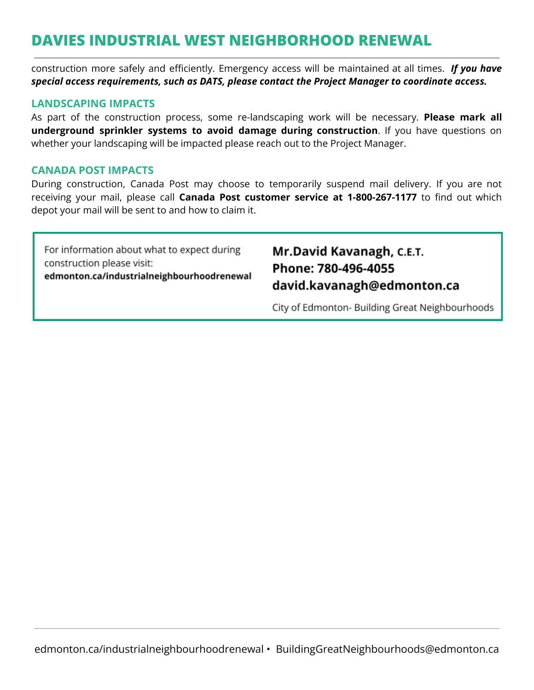# **DAVIES INDUSTRIAL WEST NEIGHBORHOOD RENEWAL**

construction more safely and efficiently. Emergency access will be maintained at all times. *If you have special access requirements, such as DATS, please contact the Project Manager to coordinate access.*

## **LANDSCAPING IMPACTS**

As part of the construction process, some re-landscaping work will be necessary. **Please mark all underground sprinkler systems to avoid damage during construction**. If you have questions on whether your landscaping will be impacted please reach out to the Project Manager.

## **CANADA POST IMPACTS**

During construction, Canada Post may choose to temporarily suspend mail delivery. If you are not receiving your mail, please call **Canada Post customer service at 1-800-267-1177** to find out which depot your mail will be sent to and how to claim it.

For information about what to expect during construction please visit: edmonton.ca/industrialneighbourhoodrenewal

## Mr.David Kavanagh, C.E.T. Phone: 780-496-4055 david.kavanagh@edmonton.ca

City of Edmonton- Building Great Neighbourhoods